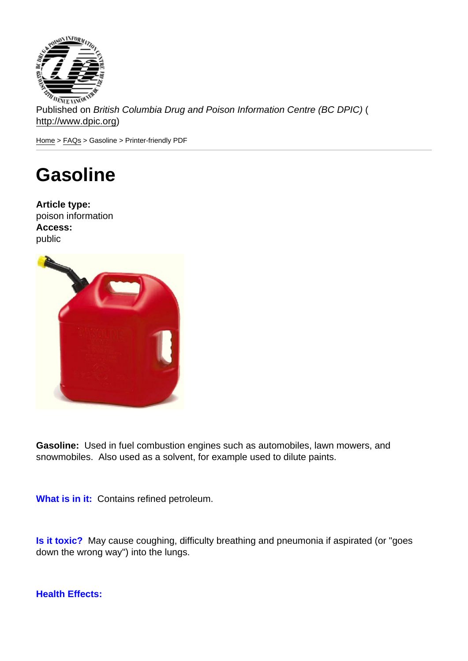Published on British Columbia Drug and Poison Information Centre (BC DPIC) ( http://www.dpic.org)

Home > FAQs > Gasoline > Printer-friendly PDF

## [Ga](http://www.dpic.org/)[so](http://www.dpic.org/faq)line

Article type: poison information Access: public

Gasoline: Used in fuel combustion engines such as automobiles, lawn mowers, and snowmobiles. Also used as a solvent, for example used to dilute paints.

What is in it: Contains refined petroleum.

Is it toxic? May cause coughing, difficulty breathing and pneumonia if aspirated (or "goes down the wrong way") into the lungs.

Health Effects: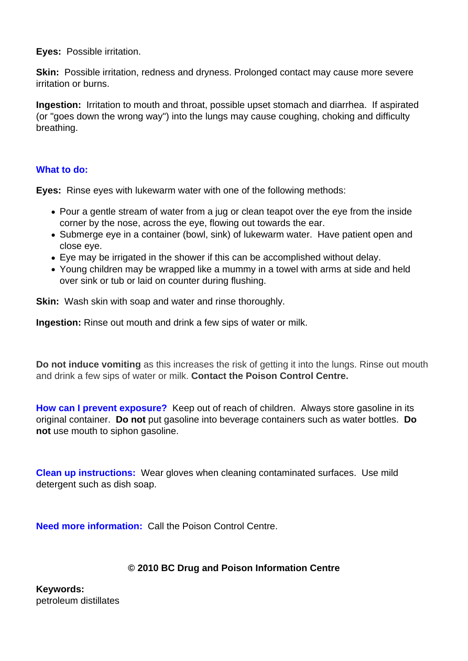**Eyes:** Possible irritation.

**Skin:** Possible irritation, redness and dryness. Prolonged contact may cause more severe irritation or burns.

**Ingestion:** Irritation to mouth and throat, possible upset stomach and diarrhea. If aspirated (or "goes down the wrong way") into the lungs may cause coughing, choking and difficulty breathing.

## **What to do:**

**Eyes:** Rinse eyes with lukewarm water with one of the following methods:

- Pour a gentle stream of water from a jug or clean teapot over the eye from the inside corner by the nose, across the eye, flowing out towards the ear.
- Submerge eye in a container (bowl, sink) of lukewarm water. Have patient open and close eye.
- Eye may be irrigated in the shower if this can be accomplished without delay.
- Young children may be wrapped like a mummy in a towel with arms at side and held over sink or tub or laid on counter during flushing.

**Skin:** Wash skin with soap and water and rinse thoroughly.

**Ingestion:** Rinse out mouth and drink a few sips of water or milk.

**Do not induce vomiting** as this increases the risk of getting it into the lungs. Rinse out mouth and drink a few sips of water or milk. **Contact the Poison Control Centre.**

**How can I prevent exposure?** Keep out of reach of children. Always store gasoline in its original container. **Do not** put gasoline into beverage containers such as water bottles. **Do not** use mouth to siphon gasoline.

**Clean up instructions:** Wear gloves when cleaning contaminated surfaces. Use mild detergent such as dish soap.

**Need more information:** Call the Poison Control Centre.

## **© 2010 BC Drug and Poison Information Centre**

**Keywords:**  petroleum distillates